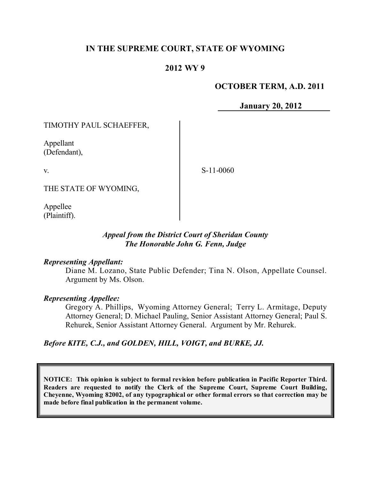# **IN THE SUPREME COURT, STATE OF WYOMING**

### **2012 WY 9**

### **OCTOBER TERM, A.D. 2011**

**January 20, 2012**

TIMOTHY PAUL SCHAEFFER,

Appellant (Defendant),

v.

S-11-0060

THE STATE OF WYOMING,

Appellee (Plaintiff).

### *Appeal from the District Court of Sheridan County The Honorable John G. Fenn, Judge*

#### *Representing Appellant:*

Diane M. Lozano, State Public Defender; Tina N. Olson, Appellate Counsel. Argument by Ms. Olson.

#### *Representing Appellee:*

Gregory A. Phillips, Wyoming Attorney General; Terry L. Armitage, Deputy Attorney General; D. Michael Pauling, Senior Assistant Attorney General; Paul S. Rehurek, Senior Assistant Attorney General. Argument by Mr. Rehurek.

*Before KITE, C.J., and GOLDEN, HILL, VOIGT, and BURKE, JJ.*

**NOTICE: This opinion is subject to formal revision before publication in Pacific Reporter Third. Readers are requested to notify the Clerk of the Supreme Court, Supreme Court Building, Cheyenne, Wyoming 82002, of any typographical or other formal errors so that correction may be made before final publication in the permanent volume.**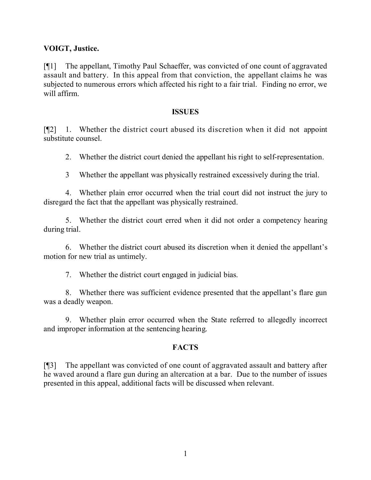### **VOIGT, Justice.**

[¶1] The appellant, Timothy Paul Schaeffer, was convicted of one count of aggravated assault and battery. In this appeal from that conviction, the appellant claims he was subjected to numerous errors which affected his right to a fair trial. Finding no error, we will affirm.

#### **ISSUES**

[¶2] 1. Whether the district court abused its discretion when it did not appoint substitute counsel.

2. Whether the district court denied the appellant his right to self-representation.

3 Whether the appellant was physically restrained excessively during the trial.

4. Whether plain error occurred when the trial court did not instruct the jury to disregard the fact that the appellant was physically restrained.

5. Whether the district court erred when it did not order a competency hearing during trial.

6. Whether the district court abused its discretion when it denied the appellant's motion for new trial as untimely.

7. Whether the district court engaged in judicial bias.

8. Whether there was sufficient evidence presented that the appellant's flare gun was a deadly weapon.

9. Whether plain error occurred when the State referred to allegedly incorrect and improper information at the sentencing hearing.

### **FACTS**

[¶3] The appellant was convicted of one count of aggravated assault and battery after he waved around a flare gun during an altercation at a bar. Due to the number of issues presented in this appeal, additional facts will be discussed when relevant.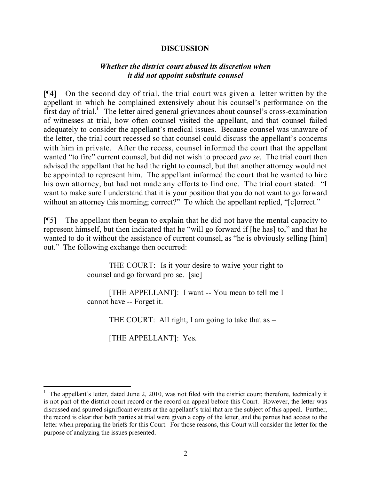### **DISCUSSION**

### *Whether the district court abused its discretion when it did not appoint substitute counsel*

[¶4] On the second day of trial, the trial court was given a letter written by the appellant in which he complained extensively about his counsel's performance on the first day of trial.<sup>1</sup> The letter aired general grievances about counsel's cross-examination of witnesses at trial, how often counsel visited the appellant, and that counsel failed adequately to consider the appellant's medical issues. Because counsel was unaware of the letter, the trial court recessed so that counsel could discuss the appellant's concerns with him in private. After the recess, counsel informed the court that the appellant wanted "to fire" current counsel, but did not wish to proceed *pro se*. The trial court then advised the appellant that he had the right to counsel, but that another attorney would not be appointed to represent him. The appellant informed the court that he wanted to hire his own attorney, but had not made any efforts to find one. The trial court stated: "I want to make sure I understand that it is your position that you do not want to go forward without an attorney this morning; correct?" To which the appellant replied, "[c]orrect."

[¶5] The appellant then began to explain that he did not have the mental capacity to represent himself, but then indicated that he "will go forward if [he has] to," and that he wanted to do it without the assistance of current counsel, as "he is obviously selling [him] out." The following exchange then occurred:

> THE COURT: Is it your desire to waive your right to counsel and go forward pro se. [sic]

> [THE APPELLANT]: I want -- You mean to tell me I cannot have -- Forget it.

> > THE COURT: All right, I am going to take that as –

[THE APPELLANT]: Yes.

l

<sup>1</sup> The appellant's letter, dated June 2, 2010, was not filed with the district court; therefore, technically it is not part of the district court record or the record on appeal before this Court. However, the letter was discussed and spurred significant events at the appellant's trial that are the subject of this appeal. Further, the record is clear that both parties at trial were given a copy of the letter, and the parties had access to the letter when preparing the briefs for this Court. For those reasons, this Court will consider the letter for the purpose of analyzing the issues presented.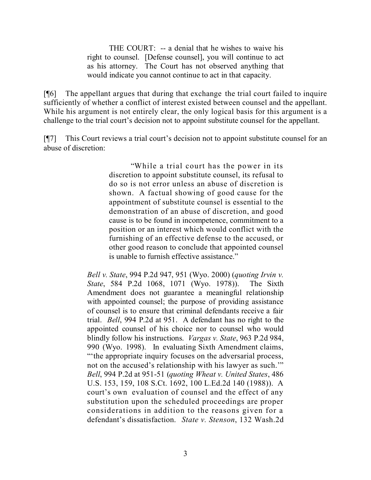THE COURT: -- a denial that he wishes to waive his right to counsel. [Defense counsel], you will continue to act as his attorney. The Court has not observed anything that would indicate you cannot continue to act in that capacity.

[¶6] The appellant argues that during that exchange the trial court failed to inquire sufficiently of whether a conflict of interest existed between counsel and the appellant. While his argument is not entirely clear, the only logical basis for this argument is a challenge to the trial court's decision not to appoint substitute counsel for the appellant.

[¶7] This Court reviews a trial court's decision not to appoint substitute counsel for an abuse of discretion:

> "While a trial court has the power in its discretion to appoint substitute counsel, its refusal to do so is not error unless an abuse of discretion is shown. A factual showing of good cause for the appointment of substitute counsel is essential to the demonstration of an abuse of discretion, and good cause is to be found in incompetence, commitment to a position or an interest which would conflict with the furnishing of an effective defense to the accused, or other good reason to conclude that appointed counsel is unable to furnish effective assistance."

*Bell v. State*, 994 P.2d 947, 951 (Wyo. 2000) (*quoting Irvin v. State*, 584 P.2d 1068, 1071 (Wyo. 1978)). The Sixth Amendment does not guarantee a meaningful relationship with appointed counsel; the purpose of providing assistance of counsel is to ensure that criminal defendants receive a fair trial. *Bell*, 994 P.2d at 951. A defendant has no right to the appointed counsel of his choice nor to counsel who would blindly follow his instructions. *Vargas v. State*, 963 P.2d 984, 990 (Wyo. 1998). In evaluating Sixth Amendment claims, "the appropriate inquiry focuses on the adversarial process, not on the accused's relationship with his lawyer as such.'" *Bell*, 994 P.2d at 951-51 (*quoting Wheat v. United States*, 486 U.S. 153, 159, 108 S.Ct. 1692, 100 L.Ed.2d 140 (1988)). A court's own evaluation of counsel and the effect of any substitution upon the scheduled proceedings are proper considerations in addition to the reasons given for a defendant's dissatisfaction. *State v. Stenson*, 132 Wash.2d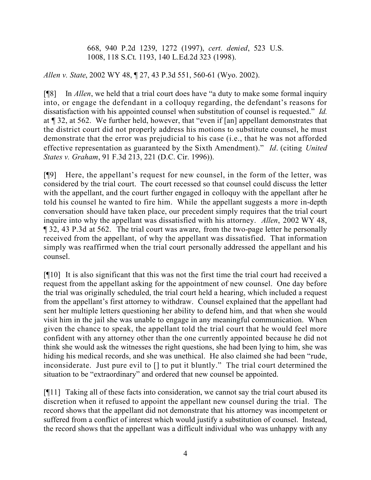668, 940 P.2d 1239, 1272 (1997), *cert. denied*, 523 U.S. 1008, 118 S.Ct. 1193, 140 L.Ed.2d 323 (1998).

*Allen v. State*, 2002 WY 48, ¶ 27, 43 P.3d 551, 560-61 (Wyo. 2002).

[¶8] In *Allen*, we held that a trial court does have "a duty to make some formal inquiry into, or engage the defendant in a colloquy regarding, the defendant's reasons for dissatisfaction with his appointed counsel when substitution of counsel is requested." *Id.* at ¶ 32, at 562. We further held, however, that "even if [an] appellant demonstrates that the district court did not properly address his motions to substitute counsel, he must demonstrate that the error was prejudicial to his case (i.e., that he was not afforded effective representation as guaranteed by the Sixth Amendment)." *Id*. (citing *United States v. Graham*, 91 F.3d 213, 221 (D.C. Cir. 1996)).

[¶9] Here, the appellant's request for new counsel, in the form of the letter, was considered by the trial court. The court recessed so that counsel could discuss the letter with the appellant, and the court further engaged in colloquy with the appellant after he told his counsel he wanted to fire him. While the appellant suggests a more in-depth conversation should have taken place, our precedent simply requires that the trial court inquire into why the appellant was dissatisfied with his attorney. *Allen*, 2002 WY 48, ¶ 32, 43 P.3d at 562. The trial court was aware, from the two-page letter he personally received from the appellant, of why the appellant was dissatisfied. That information simply was reaffirmed when the trial court personally addressed the appellant and his counsel.

[¶10] It is also significant that this was not the first time the trial court had received a request from the appellant asking for the appointment of new counsel. One day before the trial was originally scheduled, the trial court held a hearing, which included a request from the appellant's first attorney to withdraw. Counsel explained that the appellant had sent her multiple letters questioning her ability to defend him, and that when she would visit him in the jail she was unable to engage in any meaningful communication. When given the chance to speak, the appellant told the trial court that he would feel more confident with any attorney other than the one currently appointed because he did not think she would ask the witnesses the right questions, she had been lying to him, she was hiding his medical records, and she was unethical. He also claimed she had been "rude, inconsiderate. Just pure evil to [] to put it bluntly." The trial court determined the situation to be "extraordinary" and ordered that new counsel be appointed.

[¶11] Taking all of these facts into consideration, we cannot say the trial court abused its discretion when it refused to appoint the appellant new counsel during the trial. The record shows that the appellant did not demonstrate that his attorney was incompetent or suffered from a conflict of interest which would justify a substitution of counsel. Instead, the record shows that the appellant was a difficult individual who was unhappy with any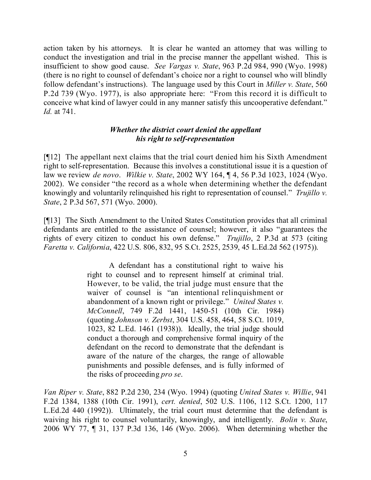action taken by his attorneys. It is clear he wanted an attorney that was willing to conduct the investigation and trial in the precise manner the appellant wished. This is insufficient to show good cause. *See Vargas v. State*, 963 P.2d 984, 990 (Wyo. 1998) (there is no right to counsel of defendant's choice nor a right to counsel who will blindly follow defendant's instructions). The language used by this Court in *Miller v. State*, 560 P.2d 739 (Wyo. 1977), is also appropriate here: "From this record it is difficult to conceive what kind of lawyer could in any manner satisfy this uncooperative defendant." *Id.* at 741.

### *Whether the district court denied the appellant his right to self-representation*

[¶12] The appellant next claims that the trial court denied him his Sixth Amendment right to self-representation. Because this involves a constitutional issue it is a question of law we review *de novo*. *Wilkie v. State*, 2002 WY 164, ¶ 4, 56 P.3d 1023, 1024 (Wyo. 2002). We consider "the record as a whole when determining whether the defendant knowingly and voluntarily relinquished his right to representation of counsel." *Trujillo v. State*, 2 P.3d 567, 571 (Wyo. 2000).

[¶13] The Sixth Amendment to the United States Constitution provides that all criminal defendants are entitled to the assistance of counsel; however, it also "guarantees the rights of every citizen to conduct his own defense." *Trujillo*, 2 P.3d at 573 (citing *Faretta v. California*, 422 U.S. 806, 832, 95 S.Ct. 2525, 2539, 45 L.Ed.2d 562 (1975)).

> A defendant has a constitutional right to waive his right to counsel and to represent himself at criminal trial. However, to be valid, the trial judge must ensure that the waiver of counsel is "an intentional relinquishment or abandonment of a known right or privilege." *United States v. McConnell*, 749 F.2d 1441, 1450-51 (10th Cir. 1984) (quoting *Johnson v. Zerbst*, 304 U.S. 458, 464, 58 S.Ct. 1019, 1023, 82 L.Ed. 1461 (1938)). Ideally, the trial judge should conduct a thorough and comprehensive formal inquiry of the defendant on the record to demonstrate that the defendant is aware of the nature of the charges, the range of allowable punishments and possible defenses, and is fully informed of the risks of proceeding *pro se*.

*Van Riper v. State*, 882 P.2d 230, 234 (Wyo. 1994) (quoting *United States v. Willie*, 941 F.2d 1384, 1388 (10th Cir. 1991), *cert. denied*, 502 U.S. 1106, 112 S.Ct. 1200, 117 L.Ed.2d 440 (1992)). Ultimately, the trial court must determine that the defendant is waiving his right to counsel voluntarily, knowingly, and intelligently. *Bolin v. State*, 2006 WY 77, ¶ 31, 137 P.3d 136, 146 (Wyo. 2006). When determining whether the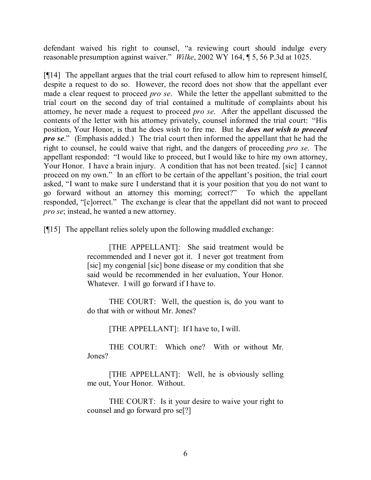defendant waived his right to counsel, "a reviewing court should indulge every reasonable presumption against waiver." *Wilke*, 2002 WY 164, ¶ 5, 56 P.3d at 1025.

[¶14] The appellant argues that the trial court refused to allow him to represent himself, despite a request to do so. However, the record does not show that the appellant ever made a clear request to proceed *pro se*. While the letter the appellant submitted to the trial court on the second day of trial contained a multitude of complaints about his attorney, he never made a request to proceed *pro se*. After the appellant discussed the contents of the letter with his attorney privately, counsel informed the trial court: "His position, Your Honor, is that he does wish to fire me. But he *does not wish to proceed pro se*." (Emphasis added.) The trial court then informed the appellant that he had the right to counsel, he could waive that right, and the dangers of proceeding *pro se*. The appellant responded: "I would like to proceed, but I would like to hire my own attorney, Your Honor. I have a brain injury. A condition that has not been treated. [sic] I cannot proceed on my own." In an effort to be certain of the appellant's position, the trial court asked, "I want to make sure I understand that it is your position that you do not want to go forward without an attorney this morning; correct?" To which the appellant responded, "[c]orrect." The exchange is clear that the appellant did not want to proceed *pro se*; instead, he wanted a new attorney.

[¶15] The appellant relies solely upon the following muddled exchange:

[THE APPELLANT]: She said treatment would be recommended and I never got it. I never got treatment from [sic] my congenial [sic] bone disease or my condition that she said would be recommended in her evaluation, Your Honor. Whatever. I will go forward if I have to.

THE COURT: Well, the question is, do you want to do that with or without Mr. Jones?

[THE APPELLANT]: If I have to, I will.

THE COURT: Which one? With or without Mr. Jones?

[THE APPELLANT]: Well, he is obviously selling me out, Your Honor. Without.

THE COURT: Is it your desire to waive your right to counsel and go forward pro se[?]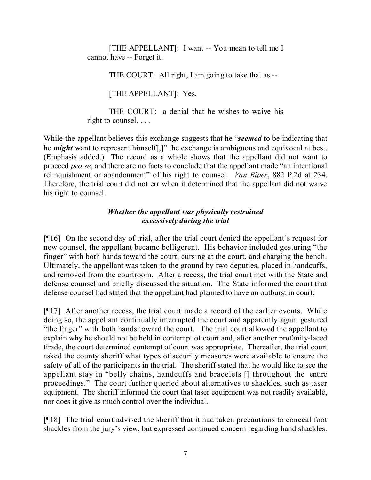[THE APPELLANT]: I want -- You mean to tell me I cannot have -- Forget it.

THE COURT: All right, I am going to take that as --

[THE APPELLANT]: Yes.

THE COURT: a denial that he wishes to waive his right to counsel. . . .

While the appellant believes this exchange suggests that he "*seemed* to be indicating that he *might* want to represent himself[,]" the exchange is ambiguous and equivocal at best. (Emphasis added.) The record as a whole shows that the appellant did not want to proceed *pro se*, and there are no facts to conclude that the appellant made "an intentional relinquishment or abandonment" of his right to counsel. *Van Riper*, 882 P.2d at 234. Therefore, the trial court did not err when it determined that the appellant did not waive his right to counsel.

## *Whether the appellant was physically restrained excessively during the trial*

[¶16] On the second day of trial, after the trial court denied the appellant's request for new counsel, the appellant became belligerent. His behavior included gesturing "the finger" with both hands toward the court, cursing at the court, and charging the bench. Ultimately, the appellant was taken to the ground by two deputies, placed in handcuffs, and removed from the courtroom. After a recess, the trial court met with the State and defense counsel and briefly discussed the situation. The State informed the court that defense counsel had stated that the appellant had planned to have an outburst in court.

[¶17] After another recess, the trial court made a record of the earlier events. While doing so, the appellant continually interrupted the court and apparently again gestured "the finger" with both hands toward the court. The trial court allowed the appellant to explain why he should not be held in contempt of court and, after another profanity-laced tirade, the court determined contempt of court was appropriate. Thereafter, the trial court asked the county sheriff what types of security measures were available to ensure the safety of all of the participants in the trial. The sheriff stated that he would like to see the appellant stay in "belly chains, handcuffs and bracelets [] throughout the entire proceedings." The court further queried about alternatives to shackles, such as taser equipment. The sheriff informed the court that taser equipment was not readily available, nor does it give as much control over the individual.

[¶18] The trial court advised the sheriff that it had taken precautions to conceal foot shackles from the jury's view, but expressed continued concern regarding hand shackles.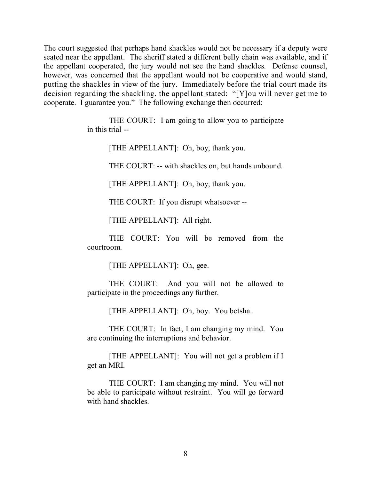The court suggested that perhaps hand shackles would not be necessary if a deputy were seated near the appellant. The sheriff stated a different belly chain was available, and if the appellant cooperated, the jury would not see the hand shackles. Defense counsel, however, was concerned that the appellant would not be cooperative and would stand, putting the shackles in view of the jury. Immediately before the trial court made its decision regarding the shackling, the appellant stated: "[Y]ou will never get me to cooperate. I guarantee you." The following exchange then occurred:

> THE COURT: I am going to allow you to participate in this trial --

> > [THE APPELLANT]: Oh, boy, thank you.

THE COURT: -- with shackles on, but hands unbound.

[THE APPELLANT]: Oh, boy, thank you.

THE COURT: If you disrupt whatsoever --

[THE APPELLANT]: All right.

THE COURT: You will be removed from the courtroom.

[THE APPELLANT]: Oh, gee.

THE COURT: And you will not be allowed to participate in the proceedings any further.

[THE APPELLANT]: Oh, boy. You betsha.

THE COURT: In fact, I am changing my mind. You are continuing the interruptions and behavior.

[THE APPELLANT]: You will not get a problem if I get an MRI.

THE COURT: I am changing my mind. You will not be able to participate without restraint. You will go forward with hand shackles.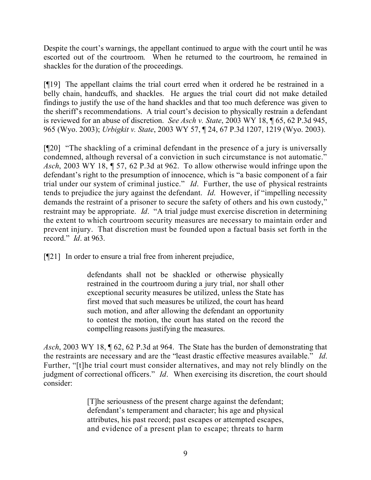Despite the court's warnings, the appellant continued to argue with the court until he was escorted out of the courtroom. When he returned to the courtroom, he remained in shackles for the duration of the proceedings.

[¶19] The appellant claims the trial court erred when it ordered he be restrained in a belly chain, handcuffs, and shackles. He argues the trial court did not make detailed findings to justify the use of the hand shackles and that too much deference was given to the sheriff's recommendations. A trial court's decision to physically restrain a defendant is reviewed for an abuse of discretion. *See Asch v. State*, 2003 WY 18, ¶ 65, 62 P.3d 945, 965 (Wyo. 2003); *Urbigkit v. State*, 2003 WY 57, ¶ 24, 67 P.3d 1207, 1219 (Wyo. 2003).

[¶20] "The shackling of a criminal defendant in the presence of a jury is universally condemned, although reversal of a conviction in such circumstance is not automatic." *Asch*, 2003 WY 18, ¶ 57, 62 P.3d at 962. To allow otherwise would infringe upon the defendant's right to the presumption of innocence, which is "a basic component of a fair trial under our system of criminal justice." *Id*. Further, the use of physical restraints tends to prejudice the jury against the defendant. *Id*. However, if "impelling necessity demands the restraint of a prisoner to secure the safety of others and his own custody," restraint may be appropriate. *Id*. "A trial judge must exercise discretion in determining the extent to which courtroom security measures are necessary to maintain order and prevent injury. That discretion must be founded upon a factual basis set forth in the record." *Id*. at 963.

[¶21] In order to ensure a trial free from inherent prejudice,

defendants shall not be shackled or otherwise physically restrained in the courtroom during a jury trial, nor shall other exceptional security measures be utilized, unless the State has first moved that such measures be utilized, the court has heard such motion, and after allowing the defendant an opportunity to contest the motion, the court has stated on the record the compelling reasons justifying the measures.

*Asch*, 2003 WY 18, ¶ 62, 62 P.3d at 964. The State has the burden of demonstrating that the restraints are necessary and are the "least drastic effective measures available." *Id*. Further, "[t]he trial court must consider alternatives, and may not rely blindly on the judgment of correctional officers." *Id*. When exercising its discretion, the court should consider:

> [T]he seriousness of the present charge against the defendant; defendant's temperament and character; his age and physical attributes, his past record; past escapes or attempted escapes, and evidence of a present plan to escape; threats to harm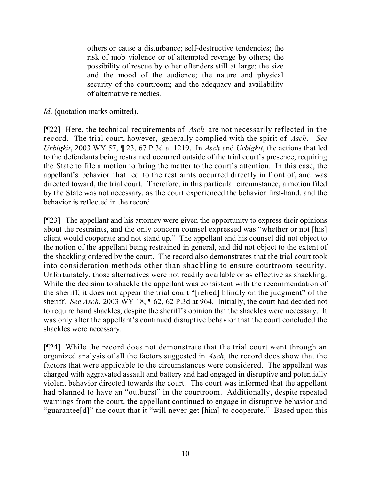others or cause a disturbance; self-destructive tendencies; the risk of mob violence or of attempted revenge by others; the possibility of rescue by other offenders still at large; the size and the mood of the audience; the nature and physical security of the courtroom; and the adequacy and availability of alternative remedies.

*Id.* (quotation marks omitted).

[¶22] Here, the technical requirements of *Asch* are not necessarily reflected in the record. The trial court, however, generally complied with the spirit of *Asch*. *See Urbigkit*, 2003 WY 57, ¶ 23, 67 P.3d at 1219. In *Asch* and *Urbigkit*, the actions that led to the defendants being restrained occurred outside of the trial court's presence, requiring the State to file a motion to bring the matter to the court's attention. In this case, the appellant's behavior that led to the restraints occurred directly in front of, and was directed toward, the trial court. Therefore, in this particular circumstance, a motion filed by the State was not necessary, as the court experienced the behavior first-hand, and the behavior is reflected in the record.

[¶23] The appellant and his attorney were given the opportunity to express their opinions about the restraints, and the only concern counsel expressed was "whether or not [his] client would cooperate and not stand up." The appellant and his counsel did not object to the notion of the appellant being restrained in general, and did not object to the extent of the shackling ordered by the court. The record also demonstrates that the trial court took into consideration methods other than shackling to ensure courtroom security. Unfortunately, those alternatives were not readily available or as effective as shackling. While the decision to shackle the appellant was consistent with the recommendation of the sheriff, it does not appear the trial court "[relied] blindly on the judgment" of the sheriff. *See Asch*, 2003 WY 18, ¶ 62, 62 P.3d at 964. Initially, the court had decided not to require hand shackles, despite the sheriff's opinion that the shackles were necessary. It was only after the appellant's continued disruptive behavior that the court concluded the shackles were necessary.

[¶24] While the record does not demonstrate that the trial court went through an organized analysis of all the factors suggested in *Asch*, the record does show that the factors that were applicable to the circumstances were considered. The appellant was charged with aggravated assault and battery and had engaged in disruptive and potentially violent behavior directed towards the court. The court was informed that the appellant had planned to have an "outburst" in the courtroom. Additionally, despite repeated warnings from the court, the appellant continued to engage in disruptive behavior and "guarantee[d]" the court that it "will never get [him] to cooperate." Based upon this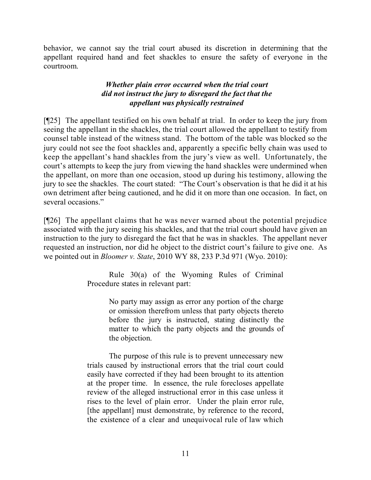behavior, we cannot say the trial court abused its discretion in determining that the appellant required hand and feet shackles to ensure the safety of everyone in the courtroom.

# *Whether plain error occurred when the trial court did not instruct the jury to disregard the fact that the appellant was physically restrained*

[¶25] The appellant testified on his own behalf at trial. In order to keep the jury from seeing the appellant in the shackles, the trial court allowed the appellant to testify from counsel table instead of the witness stand. The bottom of the table was blocked so the jury could not see the foot shackles and, apparently a specific belly chain was used to keep the appellant's hand shackles from the jury's view as well. Unfortunately, the court's attempts to keep the jury from viewing the hand shackles were undermined when the appellant, on more than one occasion, stood up during his testimony, allowing the jury to see the shackles. The court stated: "The Court's observation is that he did it at his own detriment after being cautioned, and he did it on more than one occasion. In fact, on several occasions."

[¶26] The appellant claims that he was never warned about the potential prejudice associated with the jury seeing his shackles, and that the trial court should have given an instruction to the jury to disregard the fact that he was in shackles. The appellant never requested an instruction, nor did he object to the district court's failure to give one. As we pointed out in *Bloomer v. State*, 2010 WY 88, 233 P.3d 971 (Wyo. 2010):

> Rule 30(a) of the Wyoming Rules of Criminal Procedure states in relevant part:

> > No party may assign as error any portion of the charge or omission therefrom unless that party objects thereto before the jury is instructed, stating distinctly the matter to which the party objects and the grounds of the objection.

The purpose of this rule is to prevent unnecessary new trials caused by instructional errors that the trial court could easily have corrected if they had been brought to its attention at the proper time. In essence, the rule forecloses appellate review of the alleged instructional error in this case unless it rises to the level of plain error. Under the plain error rule, [the appellant] must demonstrate, by reference to the record, the existence of a clear and unequivocal rule of law which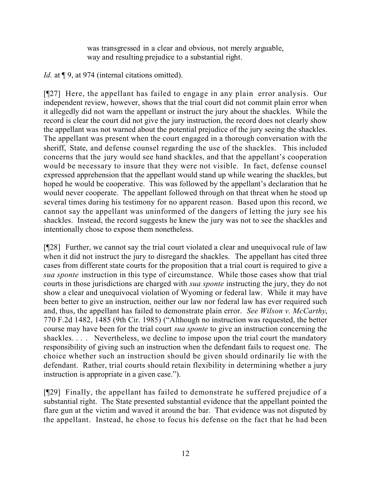was transgressed in a clear and obvious, not merely arguable, way and resulting prejudice to a substantial right.

*Id.* at  $\P$  9, at 974 (internal citations omitted).

[¶27] Here, the appellant has failed to engage in any plain error analysis. Our independent review, however, shows that the trial court did not commit plain error when it allegedly did not warn the appellant or instruct the jury about the shackles. While the record is clear the court did not give the jury instruction, the record does not clearly show the appellant was not warned about the potential prejudice of the jury seeing the shackles. The appellant was present when the court engaged in a thorough conversation with the sheriff, State, and defense counsel regarding the use of the shackles. This included concerns that the jury would see hand shackles, and that the appellant's cooperation would be necessary to insure that they were not visible. In fact, defense counsel expressed apprehension that the appellant would stand up while wearing the shackles, but hoped he would be cooperative. This was followed by the appellant's declaration that he would never cooperate. The appellant followed through on that threat when he stood up several times during his testimony for no apparent reason. Based upon this record, we cannot say the appellant was uninformed of the dangers of letting the jury see his shackles. Instead, the record suggests he knew the jury was not to see the shackles and intentionally chose to expose them nonetheless.

[¶28] Further, we cannot say the trial court violated a clear and unequivocal rule of law when it did not instruct the jury to disregard the shackles. The appellant has cited three cases from different state courts for the proposition that a trial court is required to give a *sua sponte* instruction in this type of circumstance. While those cases show that trial courts in those jurisdictions are charged with *sua sponte* instructing the jury, they do not show a clear and unequivocal violation of Wyoming or federal law. While it may have been better to give an instruction, neither our law nor federal law has ever required such and, thus, the appellant has failed to demonstrate plain error. *See Wilson v. McCarthy*, 770 F.2d 1482, 1485 (9th Cir. 1985) ("Although no instruction was requested, the better course may have been for the trial court *sua sponte* to give an instruction concerning the shackles. . . . Nevertheless, we decline to impose upon the trial court the mandatory responsibility of giving such an instruction when the defendant fails to request one. The choice whether such an instruction should be given should ordinarily lie with the defendant. Rather, trial courts should retain flexibility in determining whether a jury instruction is appropriate in a given case.").

[¶29] Finally, the appellant has failed to demonstrate he suffered prejudice of a substantial right. The State presented substantial evidence that the appellant pointed the flare gun at the victim and waved it around the bar. That evidence was not disputed by the appellant. Instead, he chose to focus his defense on the fact that he had been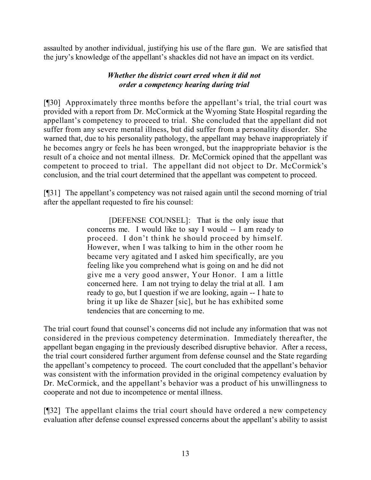assaulted by another individual, justifying his use of the flare gun. We are satisfied that the jury's knowledge of the appellant's shackles did not have an impact on its verdict.

### *Whether the district court erred when it did not order a competency hearing during trial*

[¶30] Approximately three months before the appellant's trial, the trial court was provided with a report from Dr. McCormick at the Wyoming State Hospital regarding the appellant's competency to proceed to trial. She concluded that the appellant did not suffer from any severe mental illness, but did suffer from a personality disorder. She warned that, due to his personality pathology, the appellant may behave inappropriately if he becomes angry or feels he has been wronged, but the inappropriate behavior is the result of a choice and not mental illness. Dr. McCormick opined that the appellant was competent to proceed to trial. The appellant did not object to Dr. McCormick's conclusion, and the trial court determined that the appellant was competent to proceed.

[¶31] The appellant's competency was not raised again until the second morning of trial after the appellant requested to fire his counsel:

> [DEFENSE COUNSEL]: That is the only issue that concerns me. I would like to say I would -- I am ready to proceed. I don't think he should proceed by himself. However, when I was talking to him in the other room he became very agitated and I asked him specifically, are you feeling like you comprehend what is going on and he did not give me a very good answer, Your Honor. I am a little concerned here. I am not trying to delay the trial at all. I am ready to go, but I question if we are looking, again -- I hate to bring it up like de Shazer [sic], but he has exhibited some tendencies that are concerning to me.

The trial court found that counsel's concerns did not include any information that was not considered in the previous competency determination. Immediately thereafter, the appellant began engaging in the previously described disruptive behavior. After a recess, the trial court considered further argument from defense counsel and the State regarding the appellant's competency to proceed. The court concluded that the appellant's behavior was consistent with the information provided in the original competency evaluation by Dr. McCormick, and the appellant's behavior was a product of his unwillingness to cooperate and not due to incompetence or mental illness.

[¶32] The appellant claims the trial court should have ordered a new competency evaluation after defense counsel expressed concerns about the appellant's ability to assist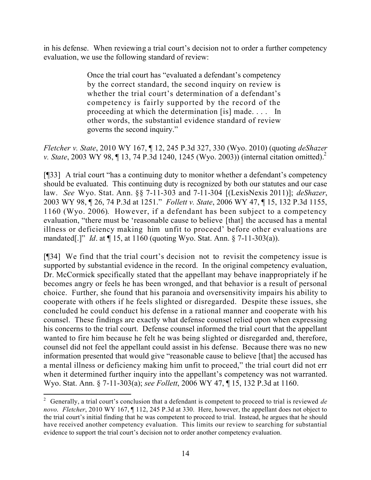in his defense. When reviewing a trial court's decision not to order a further competency evaluation, we use the following standard of review:

> Once the trial court has "evaluated a defendant's competency by the correct standard, the second inquiry on review is whether the trial court's determination of a defendant's competency is fairly supported by the record of the proceeding at which the determination [is] made. . . . In other words, the substantial evidence standard of review governs the second inquiry."

*Fletcher v. State*, 2010 WY 167, ¶ 12, 245 P.3d 327, 330 (Wyo. 2010) (quoting *deShazer v. State*, 2003 WY 98, ¶ 13, 74 P.3d 1240, 1245 (Wyo. 2003)) (internal citation omitted). 2

[¶33] A trial court "has a continuing duty to monitor whether a defendant's competency should be evaluated. This continuing duty is recognized by both our statutes and our case law. *See* Wyo. Stat. Ann. §§ 7-11-303 and 7-11-304 [(LexisNexis 2011)]; *deShazer*, 2003 WY 98, ¶ 26, 74 P.3d at 1251." *Follett v. State*, 2006 WY 47, ¶ 15, 132 P.3d 1155, 1160 (Wyo. 2006). However, if a defendant has been subject to a competency evaluation, "there must be 'reasonable cause to believe [that] the accused has a mental illness or deficiency making him unfit to proceed' before other evaluations are mandated[.]" *Id*. at ¶ 15, at 1160 (quoting Wyo. Stat. Ann. § 7-11-303(a)).

[¶34] We find that the trial court's decision not to revisit the competency issue is supported by substantial evidence in the record. In the original competency evaluation, Dr. McCormick specifically stated that the appellant may behave inappropriately if he becomes angry or feels he has been wronged, and that behavior is a result of personal choice. Further, she found that his paranoia and oversensitivity impairs his ability to cooperate with others if he feels slighted or disregarded. Despite these issues, she concluded he could conduct his defense in a rational manner and cooperate with his counsel. These findings are exactly what defense counsel relied upon when expressing his concerns to the trial court. Defense counsel informed the trial court that the appellant wanted to fire him because he felt he was being slighted or disregarded and, therefore, counsel did not feel the appellant could assist in his defense. Because there was no new information presented that would give "reasonable cause to believe [that] the accused has a mental illness or deficiency making him unfit to proceed," the trial court did not err when it determined further inquiry into the appellant's competency was not warranted. Wyo. Stat. Ann. § 7-11-303(a); *see Follett*, 2006 WY 47, ¶ 15, 132 P.3d at 1160.

l <sup>2</sup> Generally, a trial court's conclusion that a defendant is competent to proceed to trial is reviewed *de novo*. *Fletcher*, 2010 WY 167, ¶ 112, 245 P.3d at 330. Here, however, the appellant does not object to the trial court's initial finding that he was competent to proceed to trial. Instead, he argues that he should have received another competency evaluation. This limits our review to searching for substantial evidence to support the trial court's decision not to order another competency evaluation.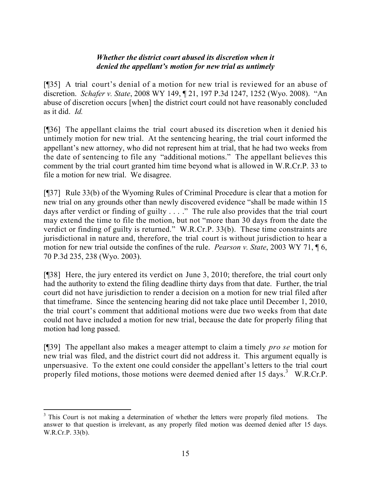### *Whether the district court abused its discretion when it denied the appellant's motion for new trial as untimely*

[¶35] A trial court's denial of a motion for new trial is reviewed for an abuse of discretion. *Schafer v. State*, 2008 WY 149, ¶ 21, 197 P.3d 1247, 1252 (Wyo. 2008). "An abuse of discretion occurs [when] the district court could not have reasonably concluded as it did. *Id.*

[¶36] The appellant claims the trial court abused its discretion when it denied his untimely motion for new trial. At the sentencing hearing, the trial court informed the appellant's new attorney, who did not represent him at trial, that he had two weeks from the date of sentencing to file any "additional motions." The appellant believes this comment by the trial court granted him time beyond what is allowed in W.R.Cr.P. 33 to file a motion for new trial. We disagree.

[¶37] Rule 33(b) of the Wyoming Rules of Criminal Procedure is clear that a motion for new trial on any grounds other than newly discovered evidence "shall be made within 15 days after verdict or finding of guilty . . . ." The rule also provides that the trial court may extend the time to file the motion, but not "more than 30 days from the date the verdict or finding of guilty is returned." W.R.Cr.P. 33(b). These time constraints are jurisdictional in nature and, therefore, the trial court is without jurisdiction to hear a motion for new trial outside the confines of the rule. *Pearson v. State*, 2003 WY 71, ¶ 6, 70 P.3d 235, 238 (Wyo. 2003).

[¶38] Here, the jury entered its verdict on June 3, 2010; therefore, the trial court only had the authority to extend the filing deadline thirty days from that date. Further, the trial court did not have jurisdiction to render a decision on a motion for new trial filed after that timeframe. Since the sentencing hearing did not take place until December 1, 2010, the trial court's comment that additional motions were due two weeks from that date could not have included a motion for new trial, because the date for properly filing that motion had long passed.

[¶39] The appellant also makes a meager attempt to claim a timely *pro se* motion for new trial was filed, and the district court did not address it. This argument equally is unpersuasive. To the extent one could consider the appellant's letters to the trial court properly filed motions, those motions were deemed denied after 15 days.<sup>3</sup> W.R.Cr.P.

l <sup>3</sup> This Court is not making a determination of whether the letters were properly filed motions. The answer to that question is irrelevant, as any properly filed motion was deemed denied after 15 days. W.R.Cr.P. 33(b).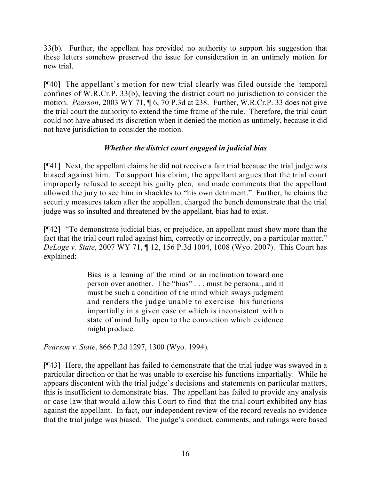33(b). Further, the appellant has provided no authority to support his suggestion that these letters somehow preserved the issue for consideration in an untimely motion for new trial.

[¶40] The appellant's motion for new trial clearly was filed outside the temporal confines of W.R.Cr.P. 33(b), leaving the district court no jurisdiction to consider the motion. *Pearson*, 2003 WY 71, ¶ 6, 70 P.3d at 238. Further, W.R.Cr.P. 33 does not give the trial court the authority to extend the time frame of the rule. Therefore, the trial court could not have abused its discretion when it denied the motion as untimely, because it did not have jurisdiction to consider the motion.

# *Whether the district court engaged in judicial bias*

[¶41] Next, the appellant claims he did not receive a fair trial because the trial judge was biased against him. To support his claim, the appellant argues that the trial court improperly refused to accept his guilty plea, and made comments that the appellant allowed the jury to see him in shackles to "his own detriment." Further, he claims the security measures taken after the appellant charged the bench demonstrate that the trial judge was so insulted and threatened by the appellant, bias had to exist.

[¶42] "To demonstrate judicial bias, or prejudice, an appellant must show more than the fact that the trial court ruled against him, correctly or incorrectly, on a particular matter." *DeLoge v. State*, 2007 WY 71, ¶ 12, 156 P.3d 1004, 1008 (Wyo. 2007). This Court has explained:

> Bias is a leaning of the mind or an inclination toward one person over another. The "bias" . . . must be personal, and it must be such a condition of the mind which sways judgment and renders the judge unable to exercise his functions impartially in a given case or which is inconsistent with a state of mind fully open to the conviction which evidence might produce.

*Pearson v. State*, 866 P.2d 1297, 1300 (Wyo. 1994).

[¶43] Here, the appellant has failed to demonstrate that the trial judge was swayed in a particular direction or that he was unable to exercise his functions impartially. While he appears discontent with the trial judge's decisions and statements on particular matters, this is insufficient to demonstrate bias. The appellant has failed to provide any analysis or case law that would allow this Court to find that the trial court exhibited any bias against the appellant. In fact, our independent review of the record reveals no evidence that the trial judge was biased. The judge's conduct, comments, and rulings were based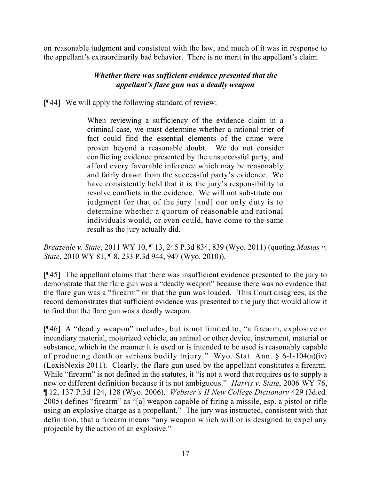on reasonable judgment and consistent with the law, and much of it was in response to the appellant's extraordinarily bad behavior. There is no merit in the appellant's claim.

## *Whether there was sufficient evidence presented that the appellant's flare gun was a deadly weapon*

[¶44] We will apply the following standard of review:

When reviewing a sufficiency of the evidence claim in a criminal case, we must determine whether a rational trier of fact could find the essential elements of the crime were proven beyond a reasonable doubt. We do not consider conflicting evidence presented by the unsuccessful party, and afford every favorable inference which may be reasonably and fairly drawn from the successful party's evidence. We have consistently held that it is the jury's responsibility to resolve conflicts in the evidence. We will not substitute our judgment for that of the jury [and] our only duty is to determine whether a quorum of reasonable and rational individuals would, or even could, have come to the same result as the jury actually did.

*Breazeale v. State*, 2011 WY 10, ¶ 13, 245 P.3d 834, 839 (Wyo. 2011) (quoting *Masias v. State*, 2010 WY 81, ¶ 8, 233 P.3d 944, 947 (Wyo. 2010)).

[¶45] The appellant claims that there was insufficient evidence presented to the jury to demonstrate that the flare gun was a "deadly weapon" because there was no evidence that the flare gun was a "firearm" or that the gun was loaded. This Court disagrees, as the record demonstrates that sufficient evidence was presented to the jury that would allow it to find that the flare gun was a deadly weapon.

[¶46] A "deadly weapon" includes, but is not limited to, "a firearm, explosive or incendiary material, motorized vehicle, an animal or other device, instrument, material or substance, which in the manner it is used or is intended to be used is reasonably capable of producing death or serious bodily injury." Wyo. Stat. Ann. § 6-1-104(a)(iv) (LexisNexis 2011). Clearly, the flare gun used by the appellant constitutes a firearm. While "firearm" is not defined in the statutes, it "is not a word that requires us to supply a new or different definition because it is not ambiguous." *Harris v. State*, 2006 WY 76, ¶ 12, 137 P.3d 124, 128 (Wyo. 2006). *Webster's II New College Dictionary* 429 (3d.ed. 2005) defines "firearm" as "[a] weapon capable of firing a missile, esp. a pistol or rifle using an explosive charge as a propellant." The jury was instructed, consistent with that definition, that a firearm means "any weapon which will or is designed to expel any projectile by the action of an explosive."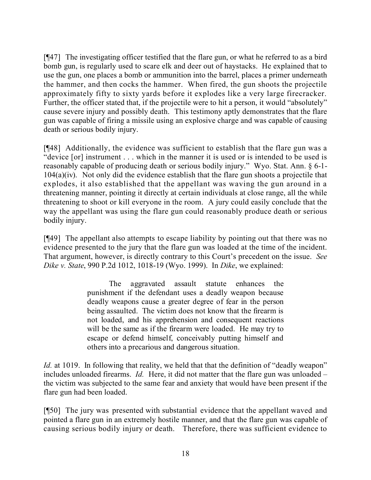[¶47] The investigating officer testified that the flare gun, or what he referred to as a bird bomb gun, is regularly used to scare elk and deer out of haystacks. He explained that to use the gun, one places a bomb or ammunition into the barrel, places a primer underneath the hammer, and then cocks the hammer. When fired, the gun shoots the projectile approximately fifty to sixty yards before it explodes like a very large firecracker. Further, the officer stated that, if the projectile were to hit a person, it would "absolutely" cause severe injury and possibly death. This testimony aptly demonstrates that the flare gun was capable of firing a missile using an explosive charge and was capable of causing death or serious bodily injury.

[¶48] Additionally, the evidence was sufficient to establish that the flare gun was a "device [or] instrument . . . which in the manner it is used or is intended to be used is reasonably capable of producing death or serious bodily injury." Wyo. Stat. Ann. § 6-1- 104(a)(iv). Not only did the evidence establish that the flare gun shoots a projectile that explodes, it also established that the appellant was waving the gun around in a threatening manner, pointing it directly at certain individuals at close range, all the while threatening to shoot or kill everyone in the room. A jury could easily conclude that the way the appellant was using the flare gun could reasonably produce death or serious bodily injury.

[¶49] The appellant also attempts to escape liability by pointing out that there was no evidence presented to the jury that the flare gun was loaded at the time of the incident. That argument, however, is directly contrary to this Court's precedent on the issue. *See Dike v. State*, 990 P.2d 1012, 1018-19 (Wyo. 1999). In *Dike*, we explained:

> The aggravated assault statute enhances the punishment if the defendant uses a deadly weapon because deadly weapons cause a greater degree of fear in the person being assaulted. The victim does not know that the firearm is not loaded, and his apprehension and consequent reactions will be the same as if the firearm were loaded. He may try to escape or defend himself, conceivably putting himself and others into a precarious and dangerous situation.

*Id.* at 1019. In following that reality, we held that that the definition of "deadly weapon" includes unloaded firearms. *Id.* Here, it did not matter that the flare gun was unloaded – the victim was subjected to the same fear and anxiety that would have been present if the flare gun had been loaded.

[¶50] The jury was presented with substantial evidence that the appellant waved and pointed a flare gun in an extremely hostile manner, and that the flare gun was capable of causing serious bodily injury or death. Therefore, there was sufficient evidence to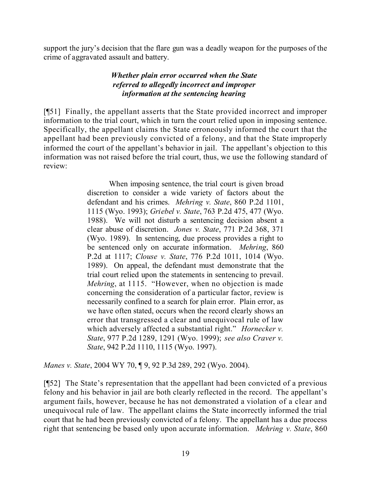support the jury's decision that the flare gun was a deadly weapon for the purposes of the crime of aggravated assault and battery.

# *Whether plain error occurred when the State referred to allegedly incorrect and improper information at the sentencing hearing*

[¶51] Finally, the appellant asserts that the State provided incorrect and improper information to the trial court, which in turn the court relied upon in imposing sentence. Specifically, the appellant claims the State erroneously informed the court that the appellant had been previously convicted of a felony, and that the State improperly informed the court of the appellant's behavior in jail. The appellant's objection to this information was not raised before the trial court, thus, we use the following standard of review:

> When imposing sentence, the trial court is given broad discretion to consider a wide variety of factors about the defendant and his crimes. *Mehring v. State*, 860 P.2d 1101, 1115 (Wyo. 1993); *Griebel v. State*, 763 P.2d 475, 477 (Wyo. 1988). We will not disturb a sentencing decision absent a clear abuse of discretion. *Jones v. State*, 771 P.2d 368, 371 (Wyo. 1989). In sentencing, due process provides a right to be sentenced only on accurate information. *Mehring*, 860 P.2d at 1117; *Clouse v. State*, 776 P.2d 1011, 1014 (Wyo. 1989). On appeal, the defendant must demonstrate that the trial court relied upon the statements in sentencing to prevail. *Mehring*, at 1115. "However, when no objection is made concerning the consideration of a particular factor, review is necessarily confined to a search for plain error. Plain error, as we have often stated, occurs when the record clearly shows an error that transgressed a clear and unequivocal rule of law which adversely affected a substantial right." *Hornecker v. State*, 977 P.2d 1289, 1291 (Wyo. 1999); *see also Craver v. State*, 942 P.2d 1110, 1115 (Wyo. 1997).

*Manes v. State*, 2004 WY 70, ¶ 9, 92 P.3d 289, 292 (Wyo. 2004).

[¶52] The State's representation that the appellant had been convicted of a previous felony and his behavior in jail are both clearly reflected in the record. The appellant's argument fails, however, because he has not demonstrated a violation of a clear and unequivocal rule of law. The appellant claims the State incorrectly informed the trial court that he had been previously convicted of a felony. The appellant has a due process right that sentencing be based only upon accurate information. *Mehring v. State*, 860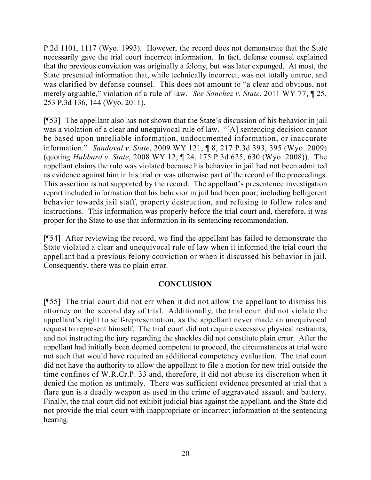P.2d 1101, 1117 (Wyo. 1993). However, the record does not demonstrate that the State necessarily gave the trial court incorrect information. In fact, defense counsel explained that the previous conviction was originally a felony, but was later expunged. At most, the State presented information that, while technically incorrect, was not totally untrue, and was clarified by defense counsel. This does not amount to "a clear and obvious, not merely arguable," violation of a rule of law. *See Sanchez v. State*, 2011 WY 77, ¶ 25, 253 P.3d 136, 144 (Wyo. 2011).

[¶53] The appellant also has not shown that the State's discussion of his behavior in jail was a violation of a clear and unequivocal rule of law. "[A] sentencing decision cannot be based upon unreliable information, undocumented information, or inaccurate information." *Sandoval v. State*, 2009 WY 121, ¶ 8, 217 P.3d 393, 395 (Wyo. 2009) (quoting *Hubbard v. State*, 2008 WY 12, ¶ 24, 175 P.3d 625, 630 (Wyo. 2008)). The appellant claims the rule was violated because his behavior in jail had not been admitted as evidence against him in his trial or was otherwise part of the record of the proceedings. This assertion is not supported by the record. The appellant's presentence investigation report included information that his behavior in jail had been poor; including belligerent behavior towards jail staff, property destruction, and refusing to follow rules and instructions. This information was properly before the trial court and, therefore, it was proper for the State to use that information in its sentencing recommendation.

[¶54] After reviewing the record, we find the appellant has failed to demonstrate the State violated a clear and unequivocal rule of law when it informed the trial court the appellant had a previous felony conviction or when it discussed his behavior in jail. Consequently, there was no plain error.

#### **CONCLUSION**

[¶55] The trial court did not err when it did not allow the appellant to dismiss his attorney on the second day of trial. Additionally, the trial court did not violate the appellant's right to self-representation, as the appellant never made an unequivocal request to represent himself. The trial court did not require excessive physical restraints, and not instructing the jury regarding the shackles did not constitute plain error. After the appellant had initially been deemed competent to proceed, the circumstances at trial were not such that would have required an additional competency evaluation. The trial court did not have the authority to allow the appellant to file a motion for new trial outside the time confines of W.R.Cr.P. 33 and, therefore, it did not abuse its discretion when it denied the motion as untimely. There was sufficient evidence presented at trial that a flare gun is a deadly weapon as used in the crime of aggravated assault and battery. Finally, the trial court did not exhibit judicial bias against the appellant, and the State did not provide the trial court with inappropriate or incorrect information at the sentencing hearing.